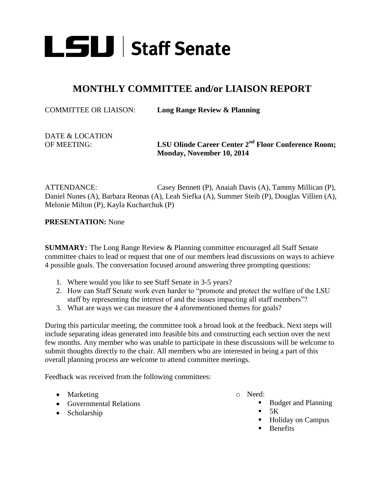

## **MONTHLY COMMITTEE and/or LIAISON REPORT**

COMMITTEE OR LIAISON: **Long Range Review & Planning**

# DATE & LOCATION

OF MEETING: **LSU Olinde Career Center 2nd Floor Conference Room; Monday, November 10, 2014**

ATTENDANCE: Casey Bennett (P), Anaiah Davis (A), Tammy Millican (P), Daniel Nunes (A), Barbara Reonas (A), Leah Siefka (A), Summer Steib (P), Douglas Villien (A), Melonie Milton (P), Kayla Kucharchuk (P)

**PRESENTATION:** None

**SUMMARY:** The Long Range Review & Planning committee encouraged all Staff Senate committee chairs to lead or request that one of our members lead discussions on ways to achieve 4 possible goals. The conversation focused around answering three prompting questions:

- 1. Where would you like to see Staff Senate in 3-5 years?
- 2. How can Staff Senate work even harder to "promote and protect the welfare of the LSU staff by representing the interest of and the issues impacting all staff members"?
- 3. What are ways we can measure the 4 aforementioned themes for goals?

During this particular meeting, the committee took a broad look at the feedback. Next steps will include separating ideas generated into feasible bits and constructing each section over the next few months. Any member who was unable to participate in these discussions will be welcome to submit thoughts directly to the chair. All members who are interested in being a part of this overall planning process are welcome to attend committee meetings.

Feedback was received from the following committees:

- Marketing
- Governmental Relations
- Scholarship
- o Need:
	- Budget and Planning
	- $-5K$
	- Holiday on Campus
	- **Benefits**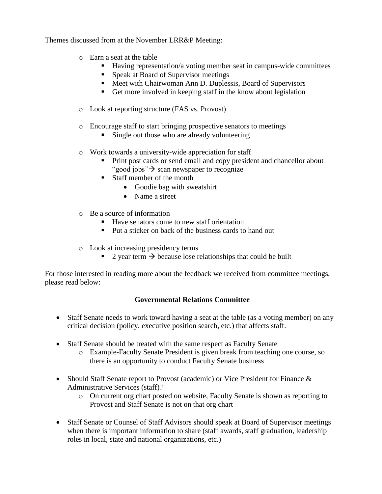Themes discussed from at the November LRR&P Meeting:

- o Earn a seat at the table
	- Having representation/a voting member seat in campus-wide committees
	- Speak at Board of Supervisor meetings
	- Meet with Chairwoman Ann D. Duplessis, Board of Supervisors
	- Get more involved in keeping staff in the know about legislation
- o Look at reporting structure (FAS vs. Provost)
- o Encourage staff to start bringing prospective senators to meetings
	- Single out those who are already volunteering
- o Work towards a university-wide appreciation for staff
	- Print post cards or send email and copy president and chancellor about "good jobs" $\rightarrow$  scan newspaper to recognize"
	- Staff member of the month
		- Goodie bag with sweatshirt
		- Name a street
- o Be a source of information
	- Have senators come to new staff orientation
	- **Put a sticker on back of the business cards to hand out**
- o Look at increasing presidency terms
	- 2 year term  $\rightarrow$  because lose relationships that could be built

For those interested in reading more about the feedback we received from committee meetings, please read below:

#### **Governmental Relations Committee**

- Staff Senate needs to work toward having a seat at the table (as a voting member) on any critical decision (policy, executive position search, etc.) that affects staff.
- Staff Senate should be treated with the same respect as Faculty Senate
	- o Example-Faculty Senate President is given break from teaching one course, so there is an opportunity to conduct Faculty Senate business
- Should Staff Senate report to Provost (academic) or Vice President for Finance & Administrative Services (staff)?
	- o On current org chart posted on website, Faculty Senate is shown as reporting to Provost and Staff Senate is not on that org chart
- Staff Senate or Counsel of Staff Advisors should speak at Board of Supervisor meetings when there is important information to share (staff awards, staff graduation, leadership roles in local, state and national organizations, etc.)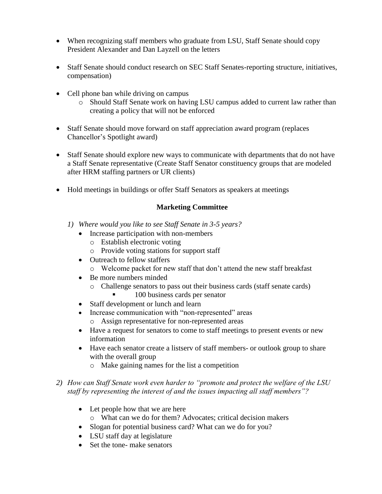- When recognizing staff members who graduate from LSU, Staff Senate should copy President Alexander and Dan Layzell on the letters
- Staff Senate should conduct research on SEC Staff Senates-reporting structure, initiatives, compensation)
- Cell phone ban while driving on campus
	- o Should Staff Senate work on having LSU campus added to current law rather than creating a policy that will not be enforced
- Staff Senate should move forward on staff appreciation award program (replaces Chancellor's Spotlight award)
- Staff Senate should explore new ways to communicate with departments that do not have a Staff Senate representative (Create Staff Senator constituency groups that are modeled after HRM staffing partners or UR clients)
- Hold meetings in buildings or offer Staff Senators as speakers at meetings

### **Marketing Committee**

- *1) Where would you like to see Staff Senate in 3-5 years?*
	- Increase participation with non-members
		- o Establish electronic voting
		- o Provide voting stations for support staff
	- Outreach to fellow staffers
		- o Welcome packet for new staff that don't attend the new staff breakfast
	- Be more numbers minded
		- o Challenge senators to pass out their business cards (staff senate cards)
			- 100 business cards per senator
	- Staff development or lunch and learn
	- Increase communication with "non-represented" areas
		- o Assign representative for non-represented areas
	- Have a request for senators to come to staff meetings to present events or new information
	- Have each senator create a listserv of staff members- or outlook group to share with the overall group
		- o Make gaining names for the list a competition
- *2) How can Staff Senate work even harder to "promote and protect the welfare of the LSU staff by representing the interest of and the issues impacting all staff members"?*
	- Let people how that we are here
		- o What can we do for them? Advocates; critical decision makers
	- Slogan for potential business card? What can we do for you?
	- LSU staff day at legislature
	- Set the tone- make senators